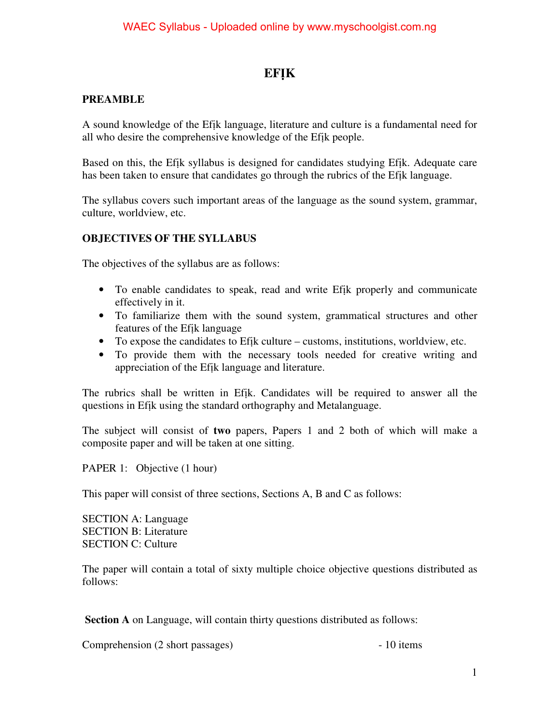## **EFỊK**

### **PREAMBLE**

A sound knowledge of the Efịk language, literature and culture is a fundamental need for all who desire the comprehensive knowledge of the Efịk people.

Based on this, the Efịk syllabus is designed for candidates studying Efịk. Adequate care has been taken to ensure that candidates go through the rubrics of the Efịk language.

The syllabus covers such important areas of the language as the sound system, grammar, culture, worldview, etc.

### **OBJECTIVES OF THE SYLLABUS**

The objectives of the syllabus are as follows:

- To enable candidates to speak, read and write Efịk properly and communicate effectively in it.
- To familiarize them with the sound system, grammatical structures and other features of the Efịk language
- To expose the candidates to Efịk culture customs, institutions, worldview, etc.
- To provide them with the necessary tools needed for creative writing and appreciation of the Efịk language and literature.

The rubrics shall be written in Efik. Candidates will be required to answer all the questions in Efịk using the standard orthography and Metalanguage.

The subject will consist of **two** papers, Papers 1 and 2 both of which will make a composite paper and will be taken at one sitting.

PAPER 1: Objective (1 hour)

This paper will consist of three sections, Sections A, B and C as follows:

SECTION A: Language SECTION B: Literature SECTION C: Culture

The paper will contain a total of sixty multiple choice objective questions distributed as follows:

**Section A** on Language, will contain thirty questions distributed as follows:

Comprehension (2 short passages) - 10 items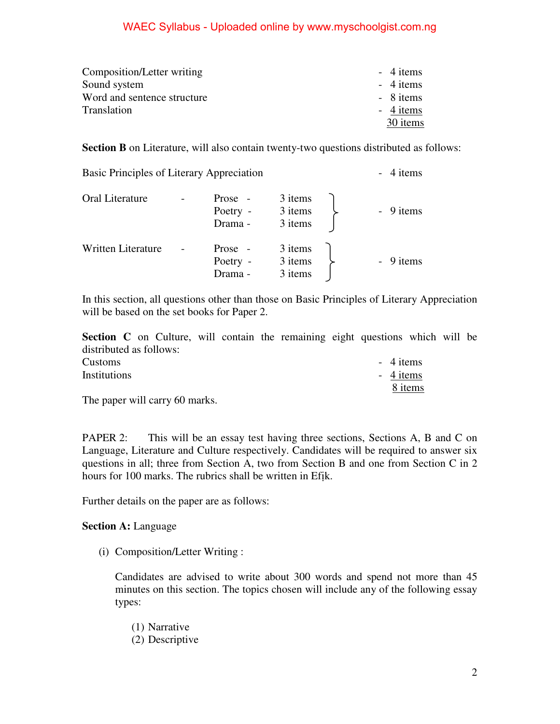| Composition/Letter writing  | $-4$ items |
|-----------------------------|------------|
| Sound system                | $-4$ items |
| Word and sentence structure | - 8 items  |
| Translation                 | - 4 items  |
|                             | 30 items   |

**Section B** on Literature, will also contain twenty-two questions distributed as follows:

| Oral Literature    | Prose -<br>Poetry -<br>Drama - | 3 items<br>3 items<br>3 items | - 9 items |
|--------------------|--------------------------------|-------------------------------|-----------|
| Written Literature | Prose -<br>Poetry -<br>Drama - | 3 items<br>3 items<br>3 items | - 9 items |

Basic Principles of Literary Appreciation - 4 items

In this section, all questions other than those on Basic Principles of Literary Appreciation will be based on the set books for Paper 2.

**Section C** on Culture, will contain the remaining eight questions which will be distributed as follows:

| Customs      |   |        |  | $-4$ items |
|--------------|---|--------|--|------------|
| Institutions |   |        |  | $-4$ items |
|              |   |        |  | 8 items    |
| $\sim$       | . | $\sim$ |  |            |

The paper will carry 60 marks.

PAPER 2: This will be an essay test having three sections, Sections A, B and C on Language, Literature and Culture respectively. Candidates will be required to answer six questions in all; three from Section A, two from Section B and one from Section C in 2 hours for 100 marks. The rubrics shall be written in Efịk.

Further details on the paper are as follows:

**Section A:** Language

(i) Composition/Letter Writing :

 Candidates are advised to write about 300 words and spend not more than 45 minutes on this section. The topics chosen will include any of the following essay types:

- (1) Narrative
- (2) Descriptive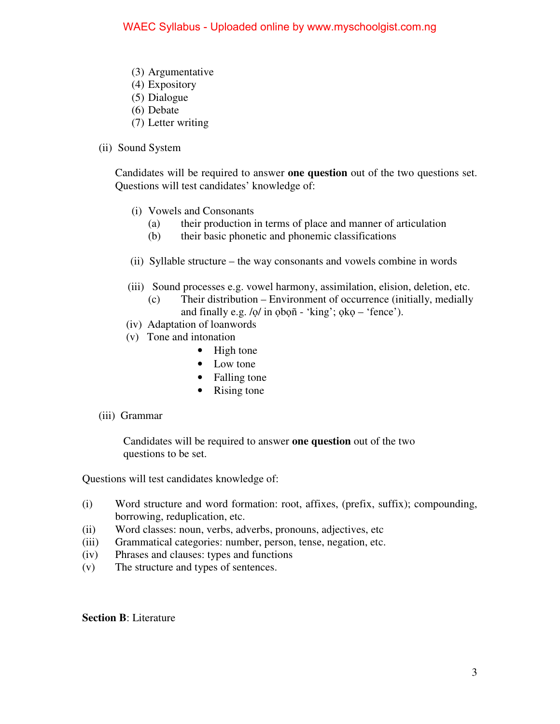- (3) Argumentative
- (4) Expository
- (5) Dialogue
- (6) Debate
- (7) Letter writing
- (ii) Sound System

Candidates will be required to answer **one question** out of the two questions set. Questions will test candidates' knowledge of:

- (i) Vowels and Consonants
	- (a) their production in terms of place and manner of articulation
	- (b) their basic phonetic and phonemic classifications
- (ii) Syllable structure the way consonants and vowels combine in words
- (iii) Sound processes e.g. vowel harmony, assimilation, elision, deletion, etc.
	- (c) Their distribution Environment of occurrence (initially, medially and finally e.g. /ọ/ in ọbọñ - 'king'; ọkọ – 'fence').
- (iv) Adaptation of loanwords
- (v) Tone and intonation
	- High tone
	- Low tone
	- Falling tone
	- Rising tone
- (iii) Grammar

 Candidates will be required to answer **one question** out of the two questions to be set.

Questions will test candidates knowledge of:

- (i) Word structure and word formation: root, affixes, (prefix, suffix); compounding, borrowing, reduplication, etc.
- (ii) Word classes: noun, verbs, adverbs, pronouns, adjectives, etc
- (iii) Grammatical categories: number, person, tense, negation, etc.
- (iv) Phrases and clauses: types and functions
- (v) The structure and types of sentences.

#### **Section B**: Literature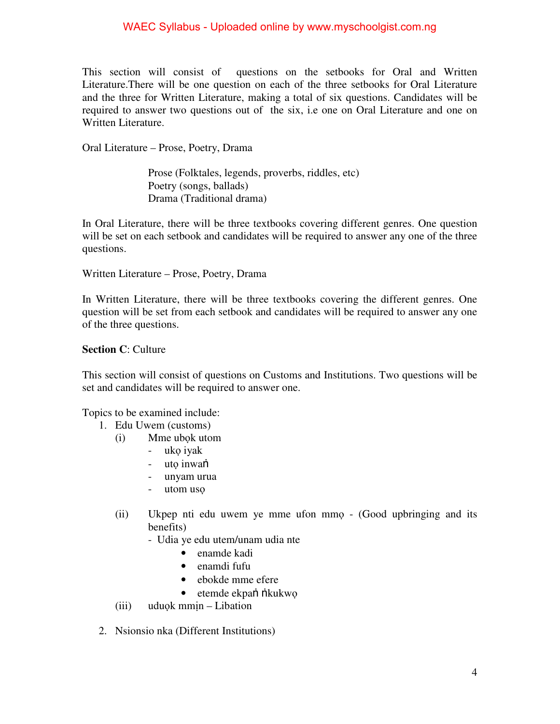This section will consist of questions on the setbooks for Oral and Written Literature.There will be one question on each of the three setbooks for Oral Literature and the three for Written Literature, making a total of six questions. Candidates will be required to answer two questions out of the six, i.e one on Oral Literature and one on Written Literature.

Oral Literature – Prose, Poetry, Drama

 Prose (Folktales, legends, proverbs, riddles, etc) Poetry (songs, ballads) Drama (Traditional drama)

In Oral Literature, there will be three textbooks covering different genres. One question will be set on each setbook and candidates will be required to answer any one of the three questions.

Written Literature – Prose, Poetry, Drama

In Written Literature, there will be three textbooks covering the different genres. One question will be set from each setbook and candidates will be required to answer any one of the three questions.

### **Section C**: Culture

This section will consist of questions on Customs and Institutions. Two questions will be set and candidates will be required to answer one.

Topics to be examined include:

- 1. Edu Uwem (customs)
	- (i) Mme ubọk utom
		- ukọ iyak
		- utọ inwaṅ
		- unyam urua
		- utom usọ
	- (ii) Ukpep nti edu uwem ye mme ufon mmọ (Good upbringing and its benefits)
		- Udia ye edu utem/unam udia nte
			- enamde kadi
			- enamdi fufu
			- ebokde mme efere
			- etemde ekpan *n*ikukwo
	- (iii) uduọk mmịn Libation
- 2. Nsionsio nka (Different Institutions)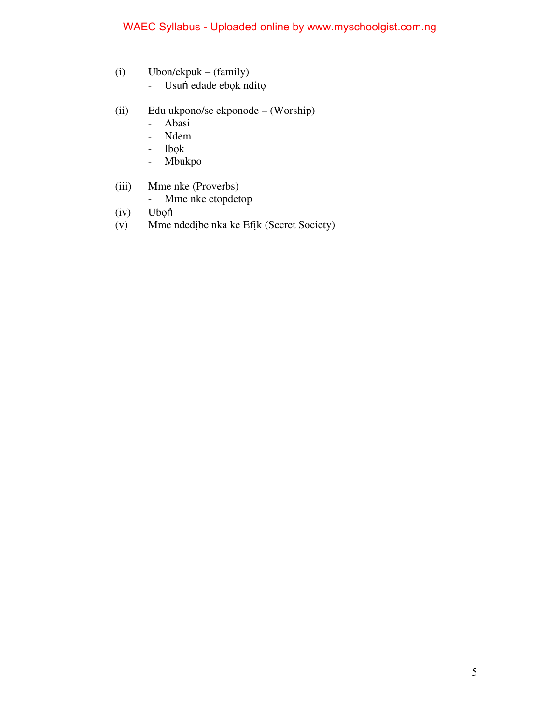- (i) Ubon/ekpuk (family)
	- Usuṅ edade ebọk nditọ
- (ii) Edu ukpono/se ekponode (Worship)
	- Abasi
	- Ndem
	- Ibọk
	- Mbukpo
- (iii) Mme nke (Proverbs)
	- Mme nke etopdetop
- (iv) Ubọṅ
- (v) Mme ndedịbe nka ke Efịk (Secret Society)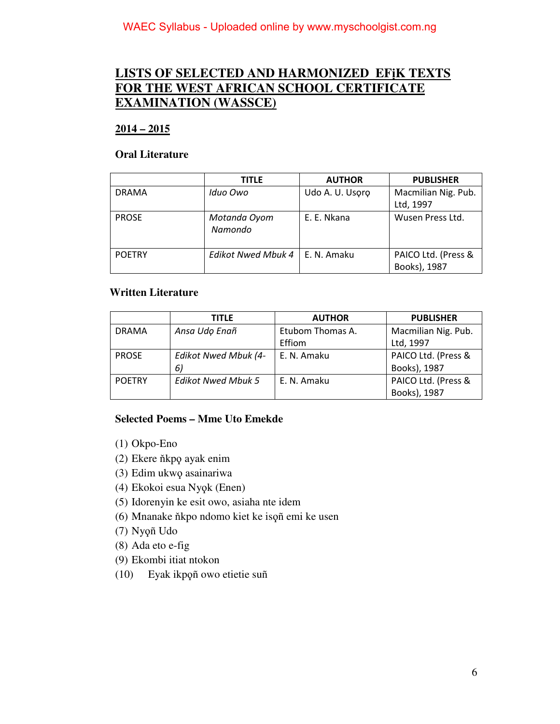## **LISTS OF SELECTED AND HARMONIZED EFịK TEXTS FOR THE WEST AFRICAN SCHOOL CERTIFICATE EXAMINATION (WASSCE)**

### **2014 – 2015**

#### **Oral Literature**

|               | <b>TITLE</b>              | <b>AUTHOR</b>   | <b>PUBLISHER</b>                    |
|---------------|---------------------------|-----------------|-------------------------------------|
| <b>DRAMA</b>  | Iduo Owo                  | Udo A. U. Usoro | Macmilian Nig. Pub.                 |
|               |                           |                 | Ltd, 1997                           |
| <b>PROSE</b>  | Motanda Oyom<br>Namondo   | E. E. Nkana     | Wusen Press Ltd.                    |
| <b>POETRY</b> | <b>Edikot Nwed Mbuk 4</b> | E. N. Amaku     | PAICO Ltd. (Press &<br>Books), 1987 |

### **Written Literature**

|               | <b>TITLE</b>              | <b>AUTHOR</b>    | <b>PUBLISHER</b>    |
|---------------|---------------------------|------------------|---------------------|
| <b>DRAMA</b>  | Ansa Udo Enañ             | Etubom Thomas A. | Macmilian Nig. Pub. |
|               |                           | Effiom           | Ltd, 1997           |
| <b>PROSE</b>  | Edikot Nwed Mbuk (4-      | E. N. Amaku      | PAICO Ltd. (Press & |
|               | 6)                        |                  | Books), 1987        |
| <b>POETRY</b> | <b>Edikot Nwed Mbuk 5</b> | E. N. Amaku      | PAICO Ltd. (Press & |
|               |                           |                  | Books), 1987        |

### **Selected Poems – Mme Uto Emekde**

- (1) Okpo-Eno
- (2) Ekere ňkpϙ ayak enim
- (3) Edim ukwϙ asainariwa
- (4) Ekokoi esua Nyϙk (Enen)
- (5) Idorenyin ke esit owo, asiaha nte idem
- (6) Mnanake ňkpo ndomo kiet ke isϙñ emi ke usen
- (7) Nyϙñ Udo
- (8) Ada eto e-fig
- (9) Ekombi itiat ntokon
- (10) Eyak ikpϙñ owo etietie suñ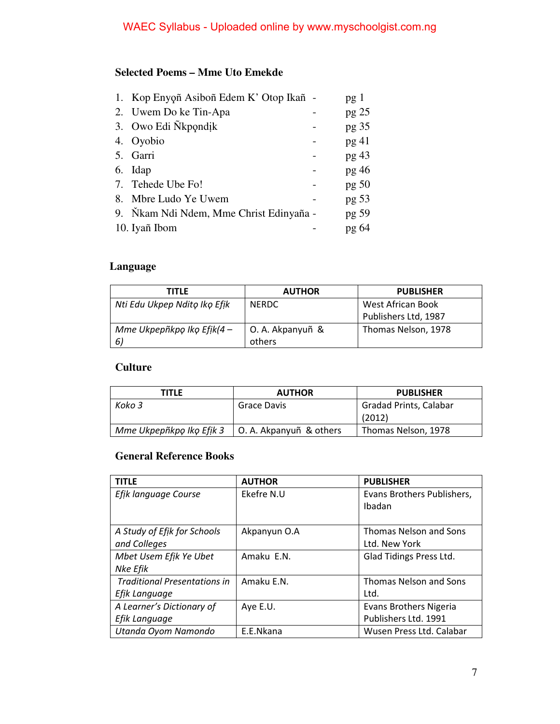## **Selected Poems – Mme Uto Emekde**

| 2. Uwem Do ke Tin-Apa<br>$pg$ 25<br>3. Owo Edi Nkpondik<br>pg <sub>35</sub> |  |
|-----------------------------------------------------------------------------|--|
|                                                                             |  |
|                                                                             |  |
| 4. Oyobio<br>pg 41                                                          |  |
| 5. Garri<br>pg 43                                                           |  |
| $pg$ 46<br>Idap<br>6.                                                       |  |
| 7. Tehede Ube Fo!<br>pg 50                                                  |  |
| pg 53<br>8.<br>Mbre Ludo Ye Uwem                                            |  |
| 9. Nikam Ndi Ndem, Mme Christ Edinyaña -<br>pg 59                           |  |
| 10. Iyañ Ibom<br>pg 64                                                      |  |

### **Language**

| <b>TITLE</b>                  | <b>AUTHOR</b>    | <b>PUBLISHER</b>     |
|-------------------------------|------------------|----------------------|
| Nti Edu Ukpep Ndito Iko Efik  | <b>NERDC</b>     | West African Book    |
|                               |                  | Publishers Ltd, 1987 |
| Mme Ukpepñkpo Iko Efik $(4 -$ | O. A. Akpanyuñ & | Thomas Nelson, 1978  |
| -6)                           | others           |                      |

### **Culture**

| <b>TITLE</b>             | <b>AUTHOR</b>           | <b>PUBLISHER</b>              |
|--------------------------|-------------------------|-------------------------------|
| Koko 3                   | Grace Davis             | <b>Gradad Prints, Calabar</b> |
|                          |                         | (2012)                        |
| Mme Ukpepñkpo Iko Efik 3 | O. A. Akpanyuñ & others | Thomas Nelson, 1978           |

## **General Reference Books**

| <b>TITLE</b>                        | <b>AUTHOR</b> | <b>PUBLISHER</b>              |
|-------------------------------------|---------------|-------------------------------|
| Efik language Course                | Ekefre N.U    | Evans Brothers Publishers,    |
|                                     |               | Ibadan                        |
|                                     |               |                               |
| A Study of Efik for Schools         | Akpanyun O.A  | <b>Thomas Nelson and Sons</b> |
| and Colleges                        |               | Ltd. New York                 |
| Mbet Usem Efik Ye Ubet              | Amaku E.N.    | Glad Tidings Press Ltd.       |
| Nke Efik                            |               |                               |
| <b>Traditional Presentations in</b> | Amaku E.N.    | <b>Thomas Nelson and Sons</b> |
| Efik Language                       |               | Ltd.                          |
| A Learner's Dictionary of           | Aye E.U.      | <b>Evans Brothers Nigeria</b> |
| Efik Language                       |               | Publishers Ltd. 1991          |
| Utanda Oyom Namondo                 | E.E.Nkana     | Wusen Press Ltd. Calabar      |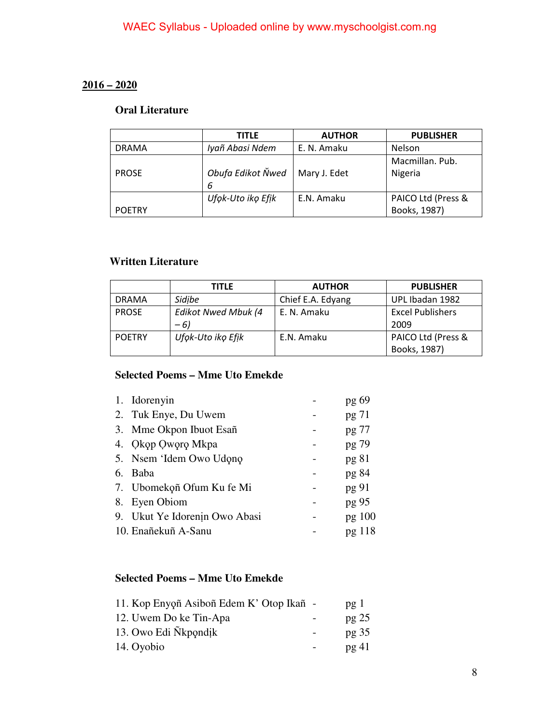### **2016 – 2020**

### **Oral Literature**

|               | TITLE             | <b>AUTHOR</b> | <b>PUBLISHER</b>   |
|---------------|-------------------|---------------|--------------------|
| <b>DRAMA</b>  | Iyañ Abasi Ndem   | E. N. Amaku   | Nelson             |
|               |                   |               | Macmillan. Pub.    |
| <b>PROSE</b>  | Obufa Edikot Ňwed | Mary J. Edet  | Nigeria            |
|               | 6                 |               |                    |
|               | Ufok-Uto iko Efik | E.N. Amaku    | PAICO Ltd (Press & |
| <b>POETRY</b> |                   |               | Books, 1987)       |

### **Written Literature**

|               | TITLE               | <b>AUTHOR</b>     | <b>PUBLISHER</b>        |
|---------------|---------------------|-------------------|-------------------------|
| <b>DRAMA</b>  | Sidibe              | Chief E.A. Edyang | UPL Ibadan 1982         |
| <b>PROSE</b>  | Edikot Nwed Mbuk (4 | E. N. Amaku       | <b>Excel Publishers</b> |
|               | $-6)$               |                   | 2009                    |
| <b>POETRY</b> | Ufok-Uto iko Efik   | E.N. Amaku        | PAICO Ltd (Press &      |
|               |                     |                   | Books, 1987)            |

## **Selected Poems – Mme Uto Emekde**

|    | 1. Idorenyin                  | pg 69  |
|----|-------------------------------|--------|
|    | 2. Tuk Enye, Du Uwem          | pg 71  |
|    | 3. Mme Okpon Ibuot Esañ       | pg 77  |
|    | 4. Okop Oworo Mkpa            | pg 79  |
|    | 5. Nsem 'Idem Owo Udono       | pg 81  |
|    | 6. Baba                       | pg 84  |
|    | 7. Ubomekoñ Ofum Ku fe Mi     | pg 91  |
| 8. | Eyen Obiom                    | pg 95  |
|    | 9. Ukut Ye Idorenin Owo Abasi | pg 100 |
|    | 10. Enañekuñ A-Sanu           | pg 118 |
|    |                               |        |

### **Selected Poems – Mme Uto Emekde**

| 11. Kop Enyoñ Asiboñ Edem K' Otop Ikañ - | pg <sub>1</sub>  |
|------------------------------------------|------------------|
| 12. Uwem Do ke Tin-Apa                   | pg <sub>25</sub> |
| 13. Owo Edi Nkpondik                     | pg <sub>35</sub> |
| 14. Oyobio                               | pg41             |